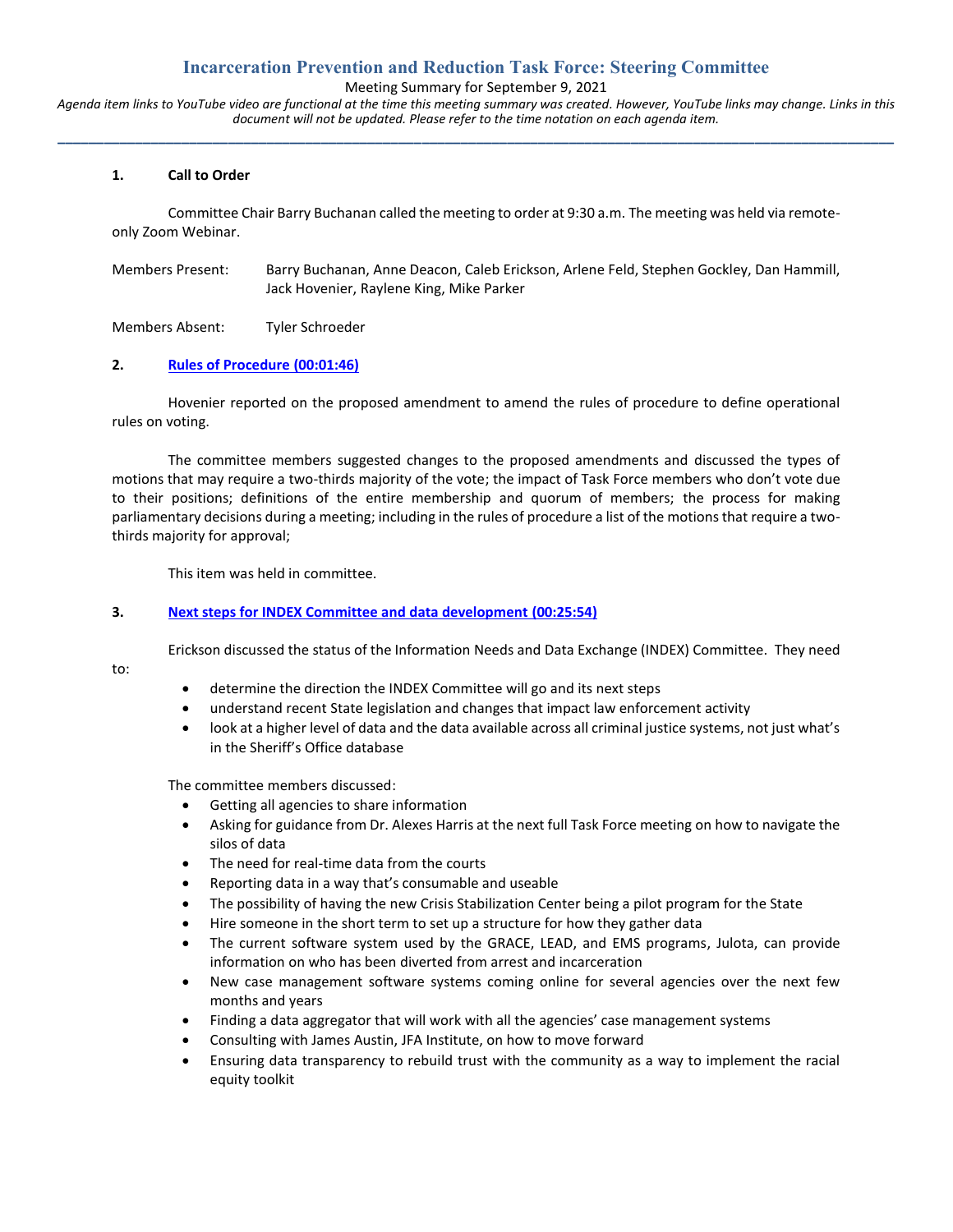# **Incarceration Prevention and Reduction Task Force: Steering Committee**

Meeting Summary for September 9, 2021

*Agenda item links to YouTube video are functional at the time this meeting summary was created. However, YouTube links may change. Links in this document will not be updated. Please refer to the time notation on each agenda item.* **\_\_\_\_\_\_\_\_\_\_\_\_\_\_\_\_\_\_\_\_\_\_\_\_\_\_\_\_\_\_\_\_\_\_\_\_\_\_\_\_\_\_\_\_\_\_\_\_\_\_\_\_\_\_\_\_\_\_\_\_\_\_\_\_\_\_\_\_\_\_\_\_\_\_\_\_\_\_\_\_\_\_\_\_\_\_\_\_\_\_\_\_\_\_\_\_\_\_\_\_\_\_\_\_\_\_\_\_**

#### **1. Call to Order**

Committee Chair Barry Buchanan called the meeting to order at 9:30 a.m. The meeting was held via remoteonly Zoom Webinar.

| Members Present: | Barry Buchanan, Anne Deacon, Caleb Erickson, Arlene Feld, Stephen Gockley, Dan Hammill, |
|------------------|-----------------------------------------------------------------------------------------|
|                  | Jack Hovenier, Raylene King, Mike Parker                                                |

Members Absent: Tyler Schroeder

#### **2. [Rules of Procedure](https://youtu.be/EpxU0W19lUo?list=PL8OuJOt5jT9qfmpjQ562L2KL685E3KxC2&t=108) (00:01:46)**

Hovenier reported on the proposed amendment to amend the rules of procedure to define operational rules on voting.

The committee members suggested changes to the proposed amendments and discussed the types of motions that may require a two-thirds majority of the vote; the impact of Task Force members who don't vote due to their positions; definitions of the entire membership and quorum of members; the process for making parliamentary decisions during a meeting; including in the rules of procedure a list of the motions that require a twothirds majority for approval;

This item was held in committee.

#### **3. [Next steps for INDEX Committee and data development](https://youtu.be/EpxU0W19lUo?list=PL8OuJOt5jT9qfmpjQ562L2KL685E3KxC2&t=1557) (00:25:54)**

Erickson discussed the status of the Information Needs and Data Exchange (INDEX) Committee. They need

to:

- determine the direction the INDEX Committee will go and its next steps
- understand recent State legislation and changes that impact law enforcement activity
- look at a higher level of data and the data available across all criminal justice systems, not just what's in the Sheriff's Office database

The committee members discussed:

- Getting all agencies to share information
- Asking for guidance from Dr. Alexes Harris at the next full Task Force meeting on how to navigate the silos of data
- The need for real-time data from the courts
- Reporting data in a way that's consumable and useable
- The possibility of having the new Crisis Stabilization Center being a pilot program for the State
- Hire someone in the short term to set up a structure for how they gather data
- The current software system used by the GRACE, LEAD, and EMS programs, Julota, can provide information on who has been diverted from arrest and incarceration
- New case management software systems coming online for several agencies over the next few months and years
- Finding a data aggregator that will work with all the agencies' case management systems
- Consulting with James Austin, JFA Institute, on how to move forward
- Ensuring data transparency to rebuild trust with the community as a way to implement the racial equity toolkit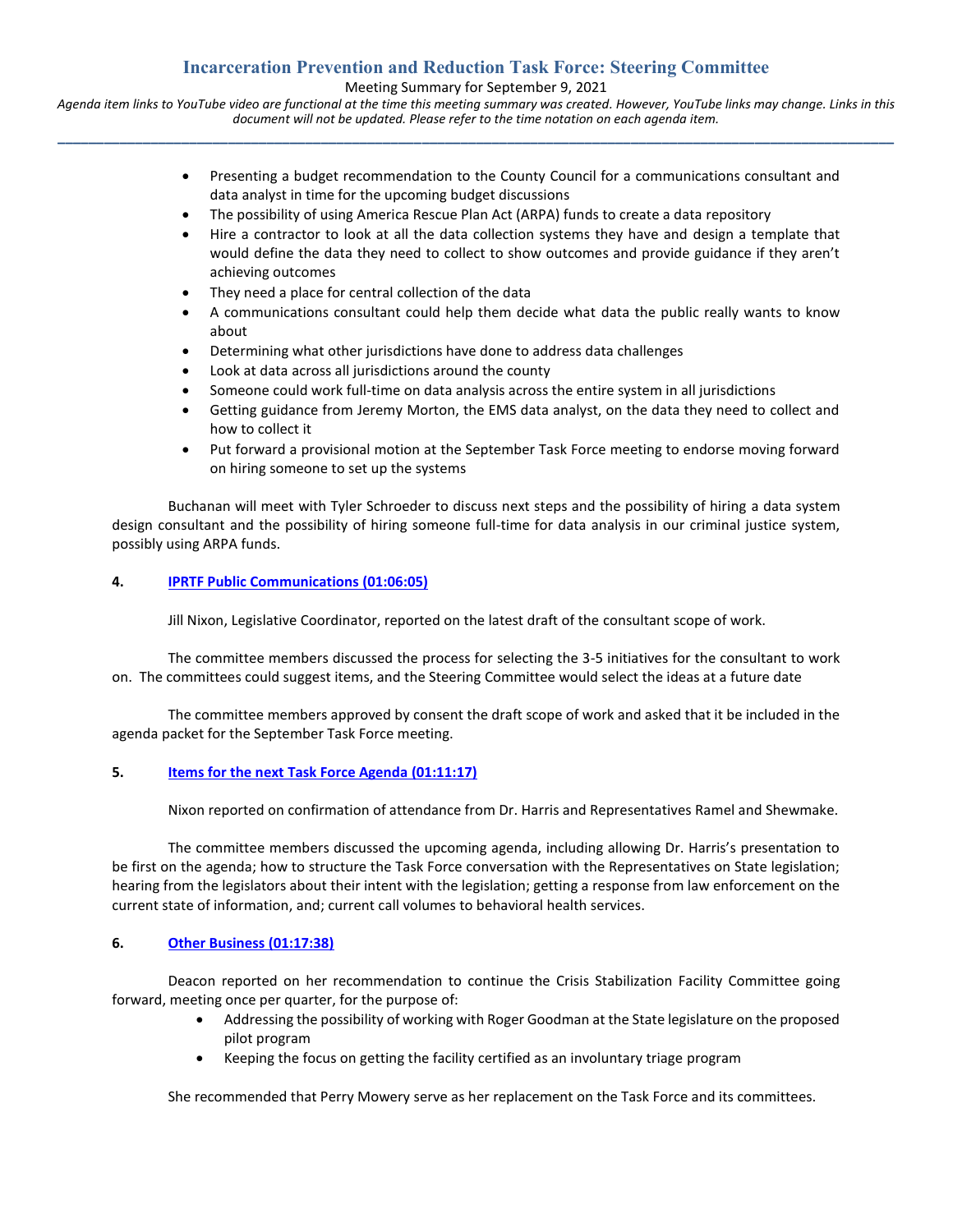# **Incarceration Prevention and Reduction Task Force: Steering Committee**

Meeting Summary for September 9, 2021

*Agenda item links to YouTube video are functional at the time this meeting summary was created. However, YouTube links may change. Links in this document will not be updated. Please refer to the time notation on each agenda item.* **\_\_\_\_\_\_\_\_\_\_\_\_\_\_\_\_\_\_\_\_\_\_\_\_\_\_\_\_\_\_\_\_\_\_\_\_\_\_\_\_\_\_\_\_\_\_\_\_\_\_\_\_\_\_\_\_\_\_\_\_\_\_\_\_\_\_\_\_\_\_\_\_\_\_\_\_\_\_\_\_\_\_\_\_\_\_\_\_\_\_\_\_\_\_\_\_\_\_\_\_\_\_\_\_\_\_\_\_**

- Presenting a budget recommendation to the County Council for a communications consultant and data analyst in time for the upcoming budget discussions
- The possibility of using America Rescue Plan Act (ARPA) funds to create a data repository
- Hire a contractor to look at all the data collection systems they have and design a template that would define the data they need to collect to show outcomes and provide guidance if they aren't achieving outcomes
- They need a place for central collection of the data
- A communications consultant could help them decide what data the public really wants to know about
- Determining what other jurisdictions have done to address data challenges
- Look at data across all jurisdictions around the county
- Someone could work full-time on data analysis across the entire system in all jurisdictions
- Getting guidance from Jeremy Morton, the EMS data analyst, on the data they need to collect and how to collect it
- Put forward a provisional motion at the September Task Force meeting to endorse moving forward on hiring someone to set up the systems

Buchanan will meet with Tyler Schroeder to discuss next steps and the possibility of hiring a data system design consultant and the possibility of hiring someone full-time for data analysis in our criminal justice system, possibly using ARPA funds.

## **4. [IPRTF Public Communications](https://youtu.be/EpxU0W19lUo?list=PL8OuJOt5jT9qfmpjQ562L2KL685E3KxC2&t=3966) (01:06:05)**

Jill Nixon, Legislative Coordinator, reported on the latest draft of the consultant scope of work.

The committee members discussed the process for selecting the 3-5 initiatives for the consultant to work on. The committees could suggest items, and the Steering Committee would select the ideas at a future date

The committee members approved by consent the draft scope of work and asked that it be included in the agenda packet for the September Task Force meeting.

## **5. Items for the next [Task Force Agenda](https://youtu.be/EpxU0W19lUo?list=PL8OuJOt5jT9qfmpjQ562L2KL685E3KxC2&t=4277) (01:11:17)**

Nixon reported on confirmation of attendance from Dr. Harris and Representatives Ramel and Shewmake.

The committee members discussed the upcoming agenda, including allowing Dr. Harris's presentation to be first on the agenda; how to structure the Task Force conversation with the Representatives on State legislation; hearing from the legislators about their intent with the legislation; getting a response from law enforcement on the current state of information, and; current call volumes to behavioral health services.

## **6. [Other Business \(01:17:38\)](https://youtu.be/EpxU0W19lUo?list=PL8OuJOt5jT9qfmpjQ562L2KL685E3KxC2&t=4659)**

Deacon reported on her recommendation to continue the Crisis Stabilization Facility Committee going forward, meeting once per quarter, for the purpose of:

- Addressing the possibility of working with Roger Goodman at the State legislature on the proposed pilot program
- Keeping the focus on getting the facility certified as an involuntary triage program

She recommended that Perry Mowery serve as her replacement on the Task Force and its committees.